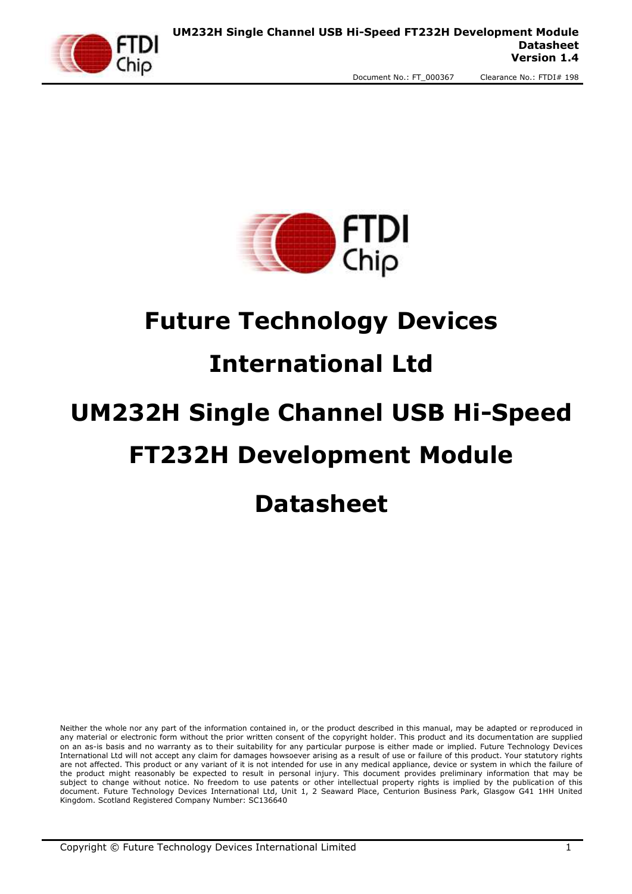



# **Future Technology Devices**

# **International Ltd**

# **UM232H Single Channel USB Hi-Speed FT232H Development Module**

# **Datasheet**

Neither the whole nor any part of the information contained in, or the product described in this manual, may be adapted or reproduced in any material or electronic form without the prior written consent of the copyright holder. This product and its documentation are supplied on an as-is basis and no warranty as to their suitability for any particular purpose is either made or implied. Future Technology Devices International Ltd will not accept any claim for damages howsoever arising as a result of use or failure of this product. Your statutory rights are not affected. This product or any variant of it is not intended for use in any medical appliance, device or system in which the failure of the product might reasonably be expected to result in personal injury. This document provides preliminary information that may be subject to change without notice. No freedom to use patents or other intellectual property rights is implied by the publication of this document. Future Technology Devices International Ltd, Unit 1, 2 Seaward Place, Centurion Business Park, Glasgow G41 1HH United Kingdom. Scotland Registered Company Number: SC136640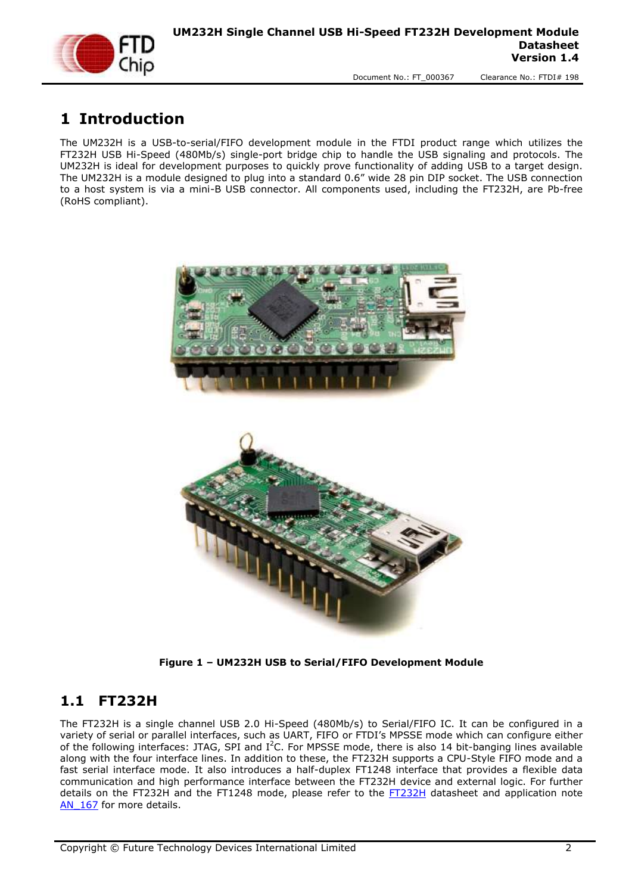

# <span id="page-1-0"></span>**1 Introduction**

The UM232H is a USB-to-serial/FIFO development module in the FTDI product range which utilizes the FT232H USB Hi-Speed (480Mb/s) single-port bridge chip to handle the USB signaling and protocols. The UM232H is ideal for development purposes to quickly prove functionality of adding USB to a target design. The UM232H is a module designed to plug into a standard 0.6" wide 28 pin DIP socket. The USB connection to a host system is via a mini-B USB connector. All components used, including the FT232H, are Pb-free (RoHS compliant).





**Figure 1 – UM232H USB to Serial/FIFO Development Module**

#### <span id="page-1-2"></span><span id="page-1-1"></span>**1.1 FT232H**

The FT232H is a single channel USB 2.0 Hi-Speed (480Mb/s) to Serial/FIFO IC. It can be configured in a variety of serial or parallel interfaces, such as UART, FIFO or FTDI's MPSSE mode which can configure either of the following interfaces: JTAG, SPI and  $I^2C$ . For MPSSE mode, there is also 14 bit-banging lines available along with the four interface lines. In addition to these, the FT232H supports a CPU-Style FIFO mode and a fast serial interface mode. It also introduces a half-duplex FT1248 interface that provides a flexible data communication and high performance interface between the FT232H device and external logic. For further details on the [FT232H](http://www.ftdichip.com/Support/Documents/DataSheets/ICs/DS_FT232H.pdf) and the FT1248 mode, please refer to the FT232H datasheet and application note AN 167 for more details.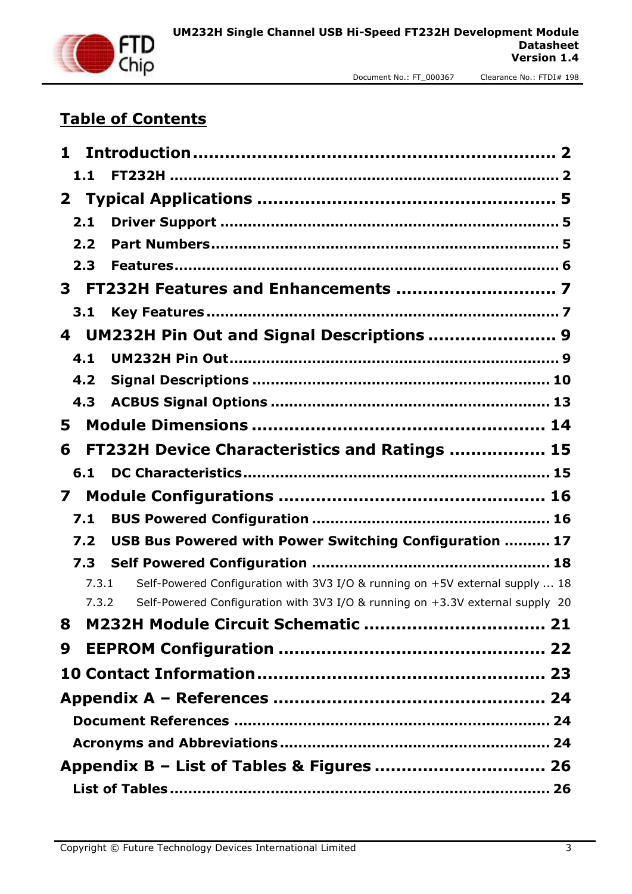

# **Table of Contents**

| 1            |                                                                               |
|--------------|-------------------------------------------------------------------------------|
| 1.1          |                                                                               |
| $\mathbf{2}$ |                                                                               |
| 2.1          |                                                                               |
| 2.2          |                                                                               |
| 2.3          |                                                                               |
| 3.           |                                                                               |
| 3.1          |                                                                               |
| 4            | UM232H Pin Out and Signal Descriptions  9                                     |
| 4.1          |                                                                               |
| 4.2          |                                                                               |
| 4.3          |                                                                               |
| 5            |                                                                               |
| 6            | FT232H Device Characteristics and Ratings  15                                 |
| 6.1          |                                                                               |
| 7            |                                                                               |
| 7.1          |                                                                               |
| 7.2          | USB Bus Powered with Power Switching Configuration  17                        |
| 7.3          |                                                                               |
| 7.3.1        | Self-Powered Configuration with 3V3 I/O & running on +5V external supply  18  |
| 7.3.2        | Self-Powered Configuration with 3V3 I/O & running on +3.3V external supply 20 |
| 8            |                                                                               |
| 9            |                                                                               |
|              |                                                                               |
|              |                                                                               |
|              |                                                                               |
|              |                                                                               |
|              | Appendix B - List of Tables & Figures  26                                     |
|              |                                                                               |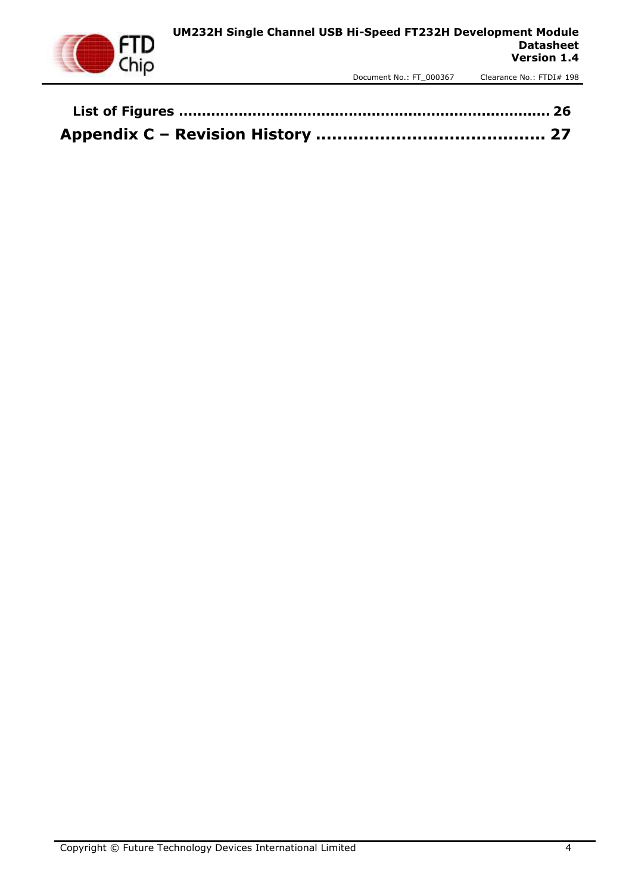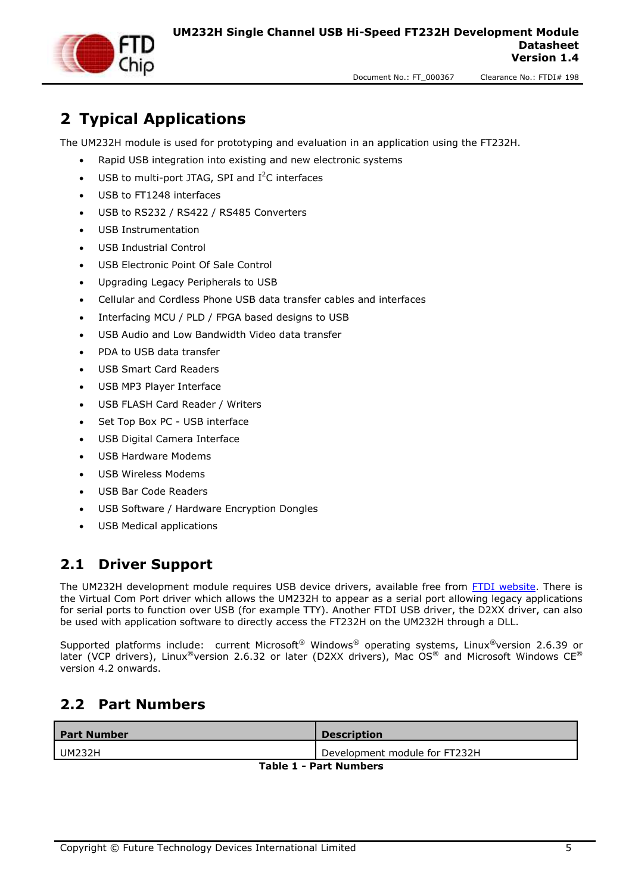

<span id="page-4-0"></span>**2 Typical Applications**

The UM232H module is used for prototyping and evaluation in an application using the FT232H.

- Rapid USB integration into existing and new electronic systems
- $\bullet$  USB to multi-port JTAG, SPI and I<sup>2</sup>C interfaces
- USB to FT1248 interfaces
- USB to RS232 / RS422 / RS485 Converters
- USB Instrumentation
- USB Industrial Control
- USB Electronic Point Of Sale Control
- Upgrading Legacy Peripherals to USB
- Cellular and Cordless Phone USB data transfer cables and interfaces
- Interfacing MCU / PLD / FPGA based designs to USB
- USB Audio and Low Bandwidth Video data transfer
- PDA to USB data transfer
- USB Smart Card Readers
- USB MP3 Player Interface
- USB FLASH Card Reader / Writers
- Set Top Box PC USB interface
- USB Digital Camera Interface
- USB Hardware Modems
- USB Wireless Modems
- USB Bar Code Readers
- USB Software / Hardware Encryption Dongles
- USB Medical applications

#### <span id="page-4-1"></span>**2.1 Driver Support**

The UM232H development module requires USB device drivers, available free from [FTDI website.](http://www.ftdichip.com./) There is the Virtual Com Port driver which allows the UM232H to appear as a serial port allowing legacy applications for serial ports to function over USB (for example TTY). Another FTDI USB driver, the D2XX driver, can also be used with application software to directly access the FT232H on the UM232H through a DLL.

Supported platforms include: current Microsoft® Windows® operating systems, Linux®version 2.6.39 or later (VCP drivers), Linux<sup>®</sup>version 2.6.32 or later (D2XX drivers), Mac OS<sup>®</sup> and Microsoft Windows CE<sup>®</sup> version 4.2 onwards.

#### <span id="page-4-2"></span>**2.2 Part Numbers**

<span id="page-4-3"></span>

| <b>Part Number</b>            | <b>Description</b>            |  |
|-------------------------------|-------------------------------|--|
| UM232H                        | Development module for FT232H |  |
| <b>Table 1 - Part Numbers</b> |                               |  |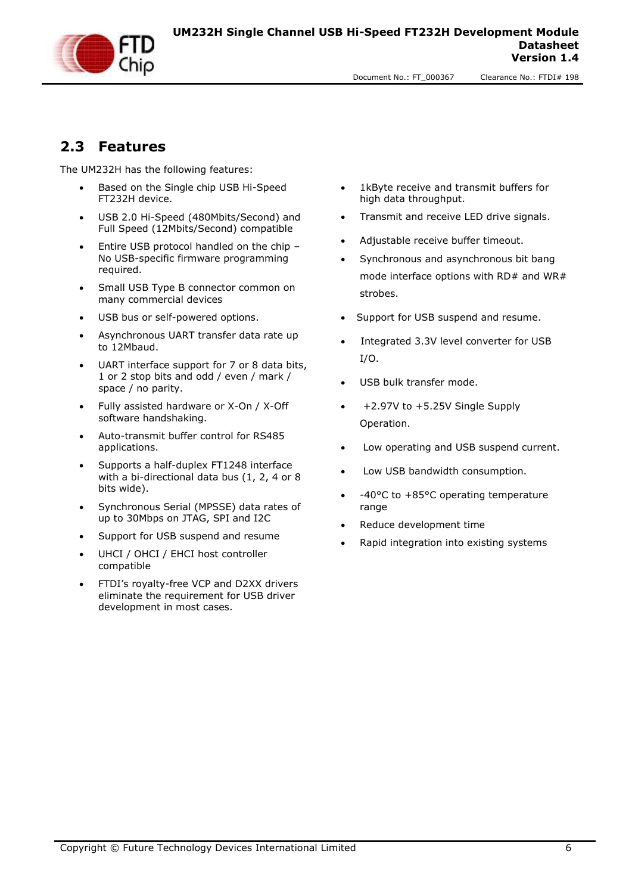

#### <span id="page-5-0"></span>**2.3 Features**

The UM232H has the following features:

- Based on the Single chip USB Hi-Speed FT232H device.
- USB 2.0 Hi-Speed (480Mbits/Second) and Full Speed (12Mbits/Second) compatible
- Entire USB protocol handled on the chip -No USB-specific firmware programming required.
- Small USB Type B connector common on many commercial devices
- USB bus or self-powered options.
- Asynchronous UART transfer data rate up to 12Mbaud.
- UART interface support for 7 or 8 data bits, 1 or 2 stop bits and odd / even / mark / space / no parity.
- Fully assisted hardware or X-On / X-Off software handshaking.
- Auto-transmit buffer control for RS485 applications.
- Supports a half-duplex FT1248 interface with a bi-directional data bus (1, 2, 4 or 8) bits wide).
- Synchronous Serial (MPSSE) data rates of up to 30Mbps on JTAG, SPI and I2C
- Support for USB suspend and resume
- UHCI / OHCI / EHCI host controller compatible
- FTDI's royalty-free VCP and D2XX drivers eliminate the requirement for USB driver development in most cases.
- 1kByte receive and transmit buffers for high data throughput.
- Transmit and receive LED drive signals.
- Adjustable receive buffer timeout.
- Synchronous and asynchronous bit bang mode interface options with RD# and WR# strobes.
- Support for USB suspend and resume.
- Integrated 3.3V level converter for USB I/O.
- USB bulk transfer mode.
- +2.97V to +5.25V Single Supply Operation.
- Low operating and USB suspend current.
- Low USB bandwidth consumption.
- -40°C to +85°C operating temperature range
- Reduce development time
- Rapid integration into existing systems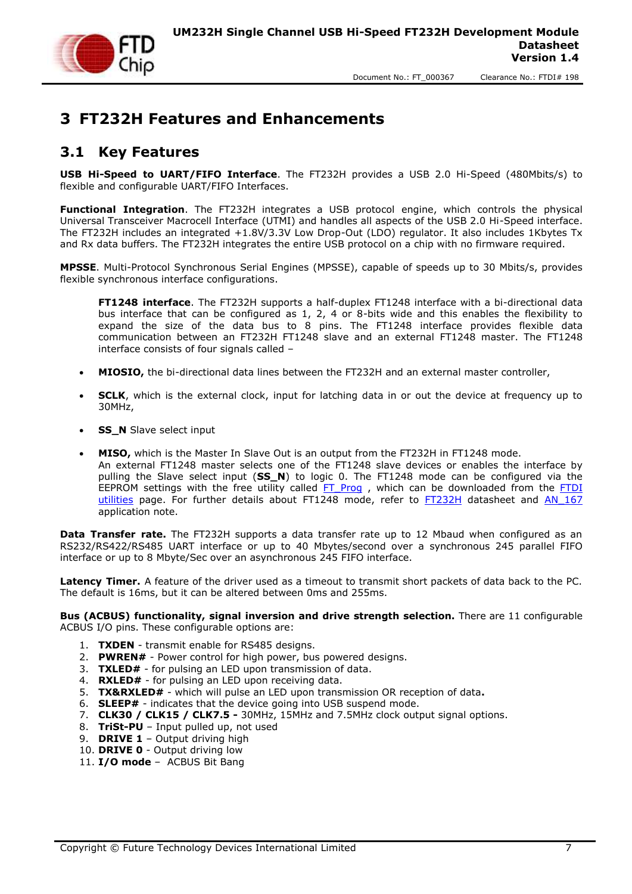

## <span id="page-6-0"></span>**3 FT232H Features and Enhancements**

#### <span id="page-6-1"></span>**3.1 Key Features**

**USB Hi-Speed to UART/FIFO Interface**. The FT232H provides a USB 2.0 Hi-Speed (480Mbits/s) to flexible and configurable UART/FIFO Interfaces.

**Functional Integration**. The FT232H integrates a USB protocol engine, which controls the physical Universal Transceiver Macrocell Interface (UTMI) and handles all aspects of the USB 2.0 Hi-Speed interface. The FT232H includes an integrated +1.8V/3.3V Low Drop-Out (LDO) regulator. It also includes 1Kbytes Tx and Rx data buffers. The FT232H integrates the entire USB protocol on a chip with no firmware required.

**MPSSE**. Multi-Protocol Synchronous Serial Engines (MPSSE), capable of speeds up to 30 Mbits/s, provides flexible synchronous interface configurations.

**FT1248 interface**. The FT232H supports a half-duplex FT1248 interface with a bi-directional data bus interface that can be configured as 1, 2, 4 or 8-bits wide and this enables the flexibility to expand the size of the data bus to 8 pins. The FT1248 interface provides flexible data communication between an FT232H FT1248 slave and an external FT1248 master. The FT1248 interface consists of four signals called –

- **MIOSIO,** the bi-directional data lines between the FT232H and an external master controller,
- **SCLK**, which is the external clock, input for latching data in or out the device at frequency up to 30MHz,
- **SS\_N** Slave select input
- **MISO,** which is the Master In Slave Out is an output from the FT232H in FT1248 mode. An external FT1248 master selects one of the FT1248 slave devices or enables the interface by pulling the Slave select input (**SS\_N**) to logic 0. The FT1248 mode can be configured via the EEPROM settings with the free utility called FT Prog , which can be downloaded from the FTDI [utilities](http://www.ftdichip.com/Support/Utilities.htm) page. For further details about FT1248 mode, refer to [FT232H](http://www.ftdichip.com/Support/Documents/DataSheets/ICs/DS_FT232H.pdf) datasheet and [AN\\_167](http://www.ftdichip.com/Support/Documents/AppNotes/AN_167_FT1248_Parallel_Serial_Interface_Basics.pdf) application note.

**Data Transfer rate.** The FT232H supports a data transfer rate up to 12 Mbaud when configured as an RS232/RS422/RS485 UART interface or up to 40 Mbytes/second over a synchronous 245 parallel FIFO interface or up to 8 Mbyte/Sec over an asynchronous 245 FIFO interface.

**Latency Timer.** A feature of the driver used as a timeout to transmit short packets of data back to the PC. The default is 16ms, but it can be altered between 0ms and 255ms.

**Bus (ACBUS) functionality, signal inversion and drive strength selection.** There are 11 configurable ACBUS I/O pins. These configurable options are:

- 1. **TXDEN**  transmit enable for RS485 designs.
- 2. **PWREN#**  Power control for high power, bus powered designs.
- 3. **TXLED#**  for pulsing an LED upon transmission of data.
- 4. **RXLED#**  for pulsing an LED upon receiving data.
- 5. **TX&RXLED#**  which will pulse an LED upon transmission OR reception of data**.**
- 6. **SLEEP#**  indicates that the device going into USB suspend mode.
- 7. **CLK30 / CLK15 / CLK7.5 -** 30MHz, 15MHz and 7.5MHz clock output signal options.
- 8. **TriSt-PU**  Input pulled up, not used
- 9. **DRIVE 1**  Output driving high
- 10. **DRIVE 0**  Output driving low
- 11. **I/O mode**  ACBUS Bit Bang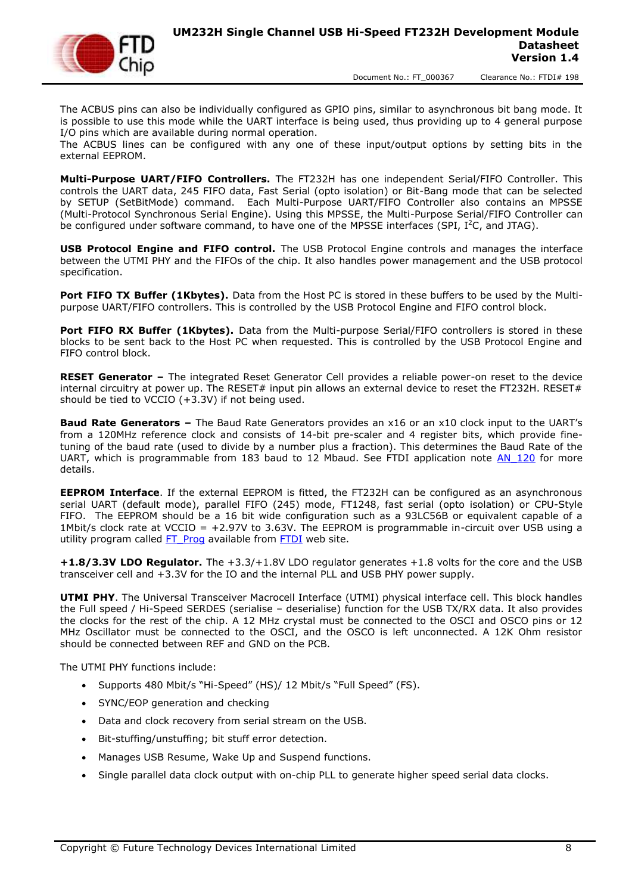

The ACBUS pins can also be individually configured as GPIO pins, similar to asynchronous bit bang mode. It is possible to use this mode while the UART interface is being used, thus providing up to 4 general purpose I/O pins which are available during normal operation.

The ACBUS lines can be configured with any one of these input/output options by setting bits in the external EEPROM.

**Multi-Purpose UART/FIFO Controllers.** The FT232H has one independent Serial/FIFO Controller. This controls the UART data, 245 FIFO data, Fast Serial (opto isolation) or Bit-Bang mode that can be selected by SETUP (SetBitMode) command. Each Multi-Purpose UART/FIFO Controller also contains an MPSSE (Multi-Protocol Synchronous Serial Engine). Using this MPSSE, the Multi-Purpose Serial/FIFO Controller can be configured under software command, to have one of the MPSSE interfaces (SPI,  $I^2C$ , and JTAG).

**USB Protocol Engine and FIFO control.** The USB Protocol Engine controls and manages the interface between the UTMI PHY and the FIFOs of the chip. It also handles power management and the USB protocol specification.

Port FIFO TX Buffer (1Kbytes). Data from the Host PC is stored in these buffers to be used by the Multipurpose UART/FIFO controllers. This is controlled by the USB Protocol Engine and FIFO control block.

Port FIFO RX Buffer (1Kbytes). Data from the Multi-purpose Serial/FIFO controllers is stored in these blocks to be sent back to the Host PC when requested. This is controlled by the USB Protocol Engine and FIFO control block.

**RESET Generator –** The integrated Reset Generator Cell provides a reliable power-on reset to the device internal circuitry at power up. The RESET# input pin allows an external device to reset the FT232H. RESET# should be tied to VCCIO (+3.3V) if not being used.

**Baud Rate Generators –** The Baud Rate Generators provides an x16 or an x10 clock input to the UART's from a 120MHz reference clock and consists of 14-bit pre-scaler and 4 register bits, which provide finetuning of the baud rate (used to divide by a number plus a fraction). This determines the Baud Rate of the UART, which is programmable from 183 baud to 12 Mbaud. See FTDI application note AN 120 for more details.

**EEPROM Interface**. If the external EEPROM is fitted, the FT232H can be configured as an asynchronous serial UART (default mode), parallel FIFO (245) mode, FT1248, fast serial (opto isolation) or CPU-Style FIFO. The EEPROM should be a 16 bit wide configuration such as a 93LC56B or equivalent capable of a 1Mbit/s clock rate at VCCIO = +2.97V to 3.63V. The EEPROM is programmable in-circuit over USB using a utility program called FT Prog available from [FTDI](http://www.ftdichip.com/) web site.

**+1.8/3.3V LDO Regulator.** The +3.3/+1.8V LDO regulator generates +1.8 volts for the core and the USB transceiver cell and +3.3V for the IO and the internal PLL and USB PHY power supply.

**UTMI PHY**. The Universal Transceiver Macrocell Interface (UTMI) physical interface cell. This block handles the Full speed / Hi-Speed SERDES (serialise – deserialise) function for the USB TX/RX data. It also provides the clocks for the rest of the chip. A 12 MHz crystal must be connected to the OSCI and OSCO pins or 12 MHz Oscillator must be connected to the OSCI, and the OSCO is left unconnected. A 12K Ohm resistor should be connected between REF and GND on the PCB.

The UTMI PHY functions include:

- Supports 480 Mbit/s "Hi-Speed" (HS)/ 12 Mbit/s "Full Speed" (FS).
- SYNC/EOP generation and checking
- Data and clock recovery from serial stream on the USB.
- Bit-stuffing/unstuffing; bit stuff error detection.
- Manages USB Resume, Wake Up and Suspend functions.
- Single parallel data clock output with on-chip PLL to generate higher speed serial data clocks.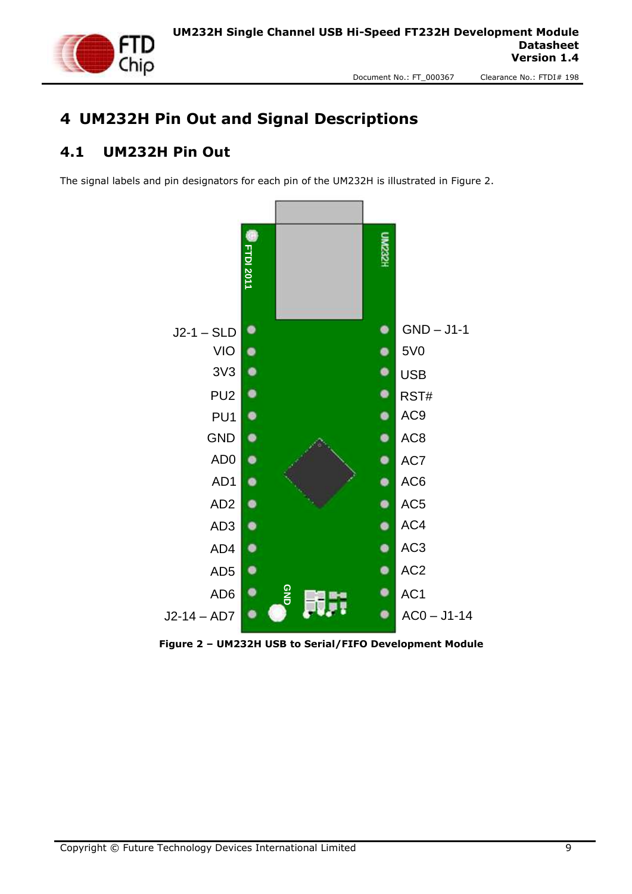

# <span id="page-8-0"></span>**4 UM232H Pin Out and Signal Descriptions**

#### <span id="page-8-1"></span>**4.1 UM232H Pin Out**

The signal labels and pin designators for each pin of the UM232H is illustrated in Figure 2.



<span id="page-8-2"></span>**Figure 2 – UM232H USB to Serial/FIFO Development Module**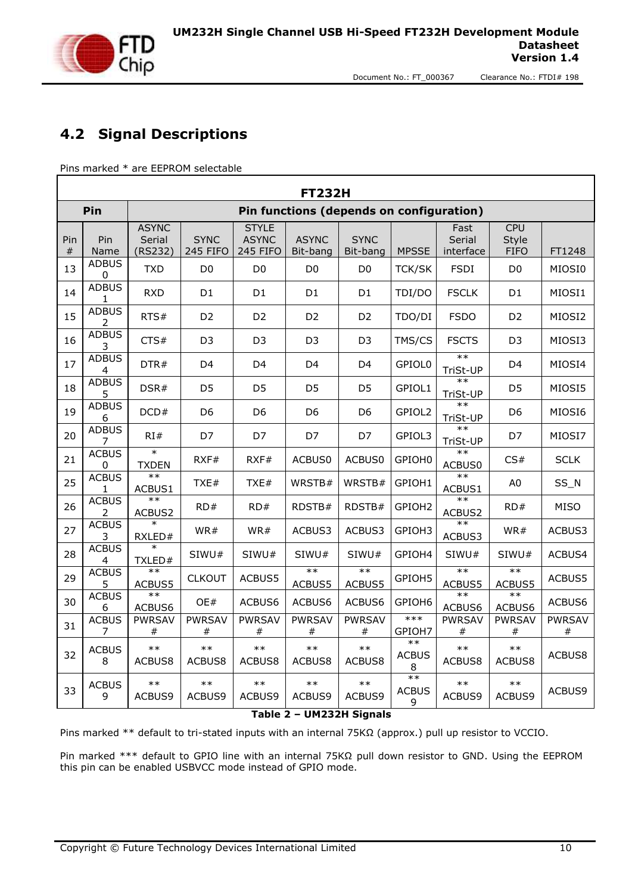

#### <span id="page-9-0"></span>**4.2 Signal Descriptions**

Pins marked \* are EEPROM selectable

| Pin<br>Pin functions (depends on configuration)<br><b>CPU</b><br><b>ASYNC</b><br><b>STYLE</b><br>Fast<br><b>ASYNC</b><br><b>ASYNC</b><br><b>SYNC</b><br>Serial<br>Pin<br>Serial<br><b>SYNC</b><br>Style<br>Pin<br><b>MPSSE</b><br>(RS232)<br>245 FIFO<br>245 FIFO<br>Bit-bang<br>interface<br><b>FIFO</b><br>$_{\#}$<br>Name<br>Bit-bang<br><b>ADBUS</b><br>13<br><b>TXD</b><br>D <sub>0</sub><br>D <sub>0</sub><br>D <sub>0</sub><br>D <sub>0</sub><br><b>TCK/SK</b><br><b>FSDI</b><br>D <sub>0</sub><br>0<br><b>ADBUS</b><br>14<br><b>RXD</b><br>D1<br>D <sub>1</sub><br>D <sub>1</sub><br>D <sub>1</sub><br>TDI/DO<br><b>FSCLK</b><br>D1<br>1<br><b>ADBUS</b><br>15<br><b>FSDO</b><br>RTS#<br>D <sub>2</sub><br>D <sub>2</sub><br>D <sub>2</sub><br>D <sub>2</sub><br>TDO/DI<br>D <sub>2</sub><br>2<br><b>ADBUS</b><br>16<br>CTS#<br>D <sub>3</sub><br>D <sub>3</sub><br>TMS/CS<br><b>FSCTS</b><br>D <sub>3</sub><br>D3<br>D <sub>3</sub><br>3<br>$**$<br><b>ADBUS</b><br>17<br>DTR#<br>D4<br>D <sub>4</sub><br>D4<br>D <sub>4</sub><br>GPIOL0<br>D4<br>TriSt-UP<br>4<br>$**$<br><b>ADBUS</b><br>18<br>DSR#<br>GPIOL1<br>D5<br>D <sub>5</sub><br>D5<br>D <sub>5</sub><br>D <sub>5</sub><br>5<br>TriSt-UP<br>$**$<br><b>ADBUS</b><br>19<br>DCD#<br>D <sub>6</sub><br>GPIOL2<br>D6<br>D6<br>D <sub>6</sub><br>D6<br>TriSt-UP<br>6<br><b>ADBUS</b><br>$**$<br>20<br>RI#<br>D7<br>D7<br>D7<br>D7<br>GPIOL3<br>D7<br>TriSt-UP<br>$**$<br>$\ast$<br><b>ACBUS</b><br>GPIOH0<br>21<br>RXF#<br>RXF#<br>ACBUS0<br>ACBUS0<br>CS#<br><b>TXDEN</b><br>ACBUS0<br>0<br>$**$<br><b>ACBUS</b><br>$**$<br>25<br>WRSTB#<br>WRSTB#<br>GPIOH1<br>TXE#<br>TXE#<br>A0<br>ACBUS1<br>ACBUS1<br>1 | FT1248<br>MIOSI0 |
|----------------------------------------------------------------------------------------------------------------------------------------------------------------------------------------------------------------------------------------------------------------------------------------------------------------------------------------------------------------------------------------------------------------------------------------------------------------------------------------------------------------------------------------------------------------------------------------------------------------------------------------------------------------------------------------------------------------------------------------------------------------------------------------------------------------------------------------------------------------------------------------------------------------------------------------------------------------------------------------------------------------------------------------------------------------------------------------------------------------------------------------------------------------------------------------------------------------------------------------------------------------------------------------------------------------------------------------------------------------------------------------------------------------------------------------------------------------------------------------------------------------------------------------------------------------------------------------------------------------------------------------------------------------------------|------------------|
|                                                                                                                                                                                                                                                                                                                                                                                                                                                                                                                                                                                                                                                                                                                                                                                                                                                                                                                                                                                                                                                                                                                                                                                                                                                                                                                                                                                                                                                                                                                                                                                                                                                                            |                  |
|                                                                                                                                                                                                                                                                                                                                                                                                                                                                                                                                                                                                                                                                                                                                                                                                                                                                                                                                                                                                                                                                                                                                                                                                                                                                                                                                                                                                                                                                                                                                                                                                                                                                            |                  |
|                                                                                                                                                                                                                                                                                                                                                                                                                                                                                                                                                                                                                                                                                                                                                                                                                                                                                                                                                                                                                                                                                                                                                                                                                                                                                                                                                                                                                                                                                                                                                                                                                                                                            |                  |
|                                                                                                                                                                                                                                                                                                                                                                                                                                                                                                                                                                                                                                                                                                                                                                                                                                                                                                                                                                                                                                                                                                                                                                                                                                                                                                                                                                                                                                                                                                                                                                                                                                                                            | MIOSI1           |
|                                                                                                                                                                                                                                                                                                                                                                                                                                                                                                                                                                                                                                                                                                                                                                                                                                                                                                                                                                                                                                                                                                                                                                                                                                                                                                                                                                                                                                                                                                                                                                                                                                                                            | MIOSI2           |
|                                                                                                                                                                                                                                                                                                                                                                                                                                                                                                                                                                                                                                                                                                                                                                                                                                                                                                                                                                                                                                                                                                                                                                                                                                                                                                                                                                                                                                                                                                                                                                                                                                                                            | MIOSI3           |
|                                                                                                                                                                                                                                                                                                                                                                                                                                                                                                                                                                                                                                                                                                                                                                                                                                                                                                                                                                                                                                                                                                                                                                                                                                                                                                                                                                                                                                                                                                                                                                                                                                                                            | MIOSI4           |
|                                                                                                                                                                                                                                                                                                                                                                                                                                                                                                                                                                                                                                                                                                                                                                                                                                                                                                                                                                                                                                                                                                                                                                                                                                                                                                                                                                                                                                                                                                                                                                                                                                                                            | MIOSI5           |
|                                                                                                                                                                                                                                                                                                                                                                                                                                                                                                                                                                                                                                                                                                                                                                                                                                                                                                                                                                                                                                                                                                                                                                                                                                                                                                                                                                                                                                                                                                                                                                                                                                                                            | MIOSI6           |
|                                                                                                                                                                                                                                                                                                                                                                                                                                                                                                                                                                                                                                                                                                                                                                                                                                                                                                                                                                                                                                                                                                                                                                                                                                                                                                                                                                                                                                                                                                                                                                                                                                                                            | MIOSI7           |
|                                                                                                                                                                                                                                                                                                                                                                                                                                                                                                                                                                                                                                                                                                                                                                                                                                                                                                                                                                                                                                                                                                                                                                                                                                                                                                                                                                                                                                                                                                                                                                                                                                                                            | <b>SCLK</b>      |
|                                                                                                                                                                                                                                                                                                                                                                                                                                                                                                                                                                                                                                                                                                                                                                                                                                                                                                                                                                                                                                                                                                                                                                                                                                                                                                                                                                                                                                                                                                                                                                                                                                                                            | SS_N             |
| $**$<br><b>ACBUS</b><br>$**$<br>26<br>RD#<br>RD#<br>RDSTB#<br>RDSTB#<br>GPIOH2<br>RD#<br>ACBUS2<br>ACBUS2<br>2                                                                                                                                                                                                                                                                                                                                                                                                                                                                                                                                                                                                                                                                                                                                                                                                                                                                                                                                                                                                                                                                                                                                                                                                                                                                                                                                                                                                                                                                                                                                                             | MISO             |
| $**$<br><b>ACBUS</b><br>27<br>WR#<br>WR#<br>ACBUS3<br>ACBUS3<br>GPIOH3<br>WR#<br>RXLED#<br>ACBUS3<br>3                                                                                                                                                                                                                                                                                                                                                                                                                                                                                                                                                                                                                                                                                                                                                                                                                                                                                                                                                                                                                                                                                                                                                                                                                                                                                                                                                                                                                                                                                                                                                                     | ACBUS3           |
| <b>ACBUS</b><br>28<br>SIWU#<br>SIWU#<br>SIWU#<br>SIWU#<br>GPIOH4<br>SIWU#<br>SIWU#<br>TXLED#<br>4                                                                                                                                                                                                                                                                                                                                                                                                                                                                                                                                                                                                                                                                                                                                                                                                                                                                                                                                                                                                                                                                                                                                                                                                                                                                                                                                                                                                                                                                                                                                                                          | ACBUS4           |
| $*$<br>$\ast\ast$<br>$\ast\ast$<br>$*$<br><b>ACBUS</b><br>$**$<br>29<br><b>CLKOUT</b><br>GPIOH5<br>ACBUS5<br>ACBUS5<br>ACBUS5<br>ACBUS5<br>ACBUS5<br>ACBUS5<br>5.                                                                                                                                                                                                                                                                                                                                                                                                                                                                                                                                                                                                                                                                                                                                                                                                                                                                                                                                                                                                                                                                                                                                                                                                                                                                                                                                                                                                                                                                                                          | ACBUS5           |
| $**$<br>$**$<br>$**$<br><b>ACBUS</b><br>30<br>OE#<br>ACBUS6<br>ACBUS6<br>ACBUS6<br>GPIOH6<br>ACBUS6<br>ACBUS6<br>6<br>ACBUS6                                                                                                                                                                                                                                                                                                                                                                                                                                                                                                                                                                                                                                                                                                                                                                                                                                                                                                                                                                                                                                                                                                                                                                                                                                                                                                                                                                                                                                                                                                                                               | ACBUS6           |
| $***$<br><b>ACBUS</b><br><b>PWRSAV</b><br><b>PWRSAV</b><br><b>PWRSAV</b><br>PWRSAV<br><b>PWRSAV</b><br><b>PWRSAV</b><br><b>PWRSAV</b><br>31<br>GPIOH7<br>7<br>#<br>#<br>#<br>#<br>#<br>#<br>#                                                                                                                                                                                                                                                                                                                                                                                                                                                                                                                                                                                                                                                                                                                                                                                                                                                                                                                                                                                                                                                                                                                                                                                                                                                                                                                                                                                                                                                                              | PWRSAV<br>$\#$   |
| $**$<br>$**$<br>$**$<br>$**$<br>$**$<br>$***$<br>$**$<br>$**$<br><b>ACBUS</b><br>32<br><b>ACBUS</b><br>ACBUS8<br>ACBUS8<br>ACBUS8<br>ACBUS8<br>ACBUS8<br>ACBUS8<br>ACBUS8<br>8<br>8                                                                                                                                                                                                                                                                                                                                                                                                                                                                                                                                                                                                                                                                                                                                                                                                                                                                                                                                                                                                                                                                                                                                                                                                                                                                                                                                                                                                                                                                                        | ACBUS8           |
| $***$<br>$**$<br>$**$<br>$**$<br>$**$<br>$**$<br>$**$<br>$**$<br><b>ACBUS</b><br>33<br><b>ACBUS</b><br>ACBUS9<br>ACBUS9<br>ACBUS9<br>ACBUS9<br>9<br>ACBUS9<br>ACBUS9<br>ACBUS9<br>9                                                                                                                                                                                                                                                                                                                                                                                                                                                                                                                                                                                                                                                                                                                                                                                                                                                                                                                                                                                                                                                                                                                                                                                                                                                                                                                                                                                                                                                                                        | ACBUS9           |

#### **Table 2 – UM232H Signals**

<span id="page-9-1"></span>Pins marked \*\* default to tri-stated inputs with an internal 75KΩ (approx.) pull up resistor to VCCIO.

Pin marked \*\*\* default to GPIO line with an internal 75KΩ pull down resistor to GND. Using the EEPROM this pin can be enabled USBVCC mode instead of GPIO mode.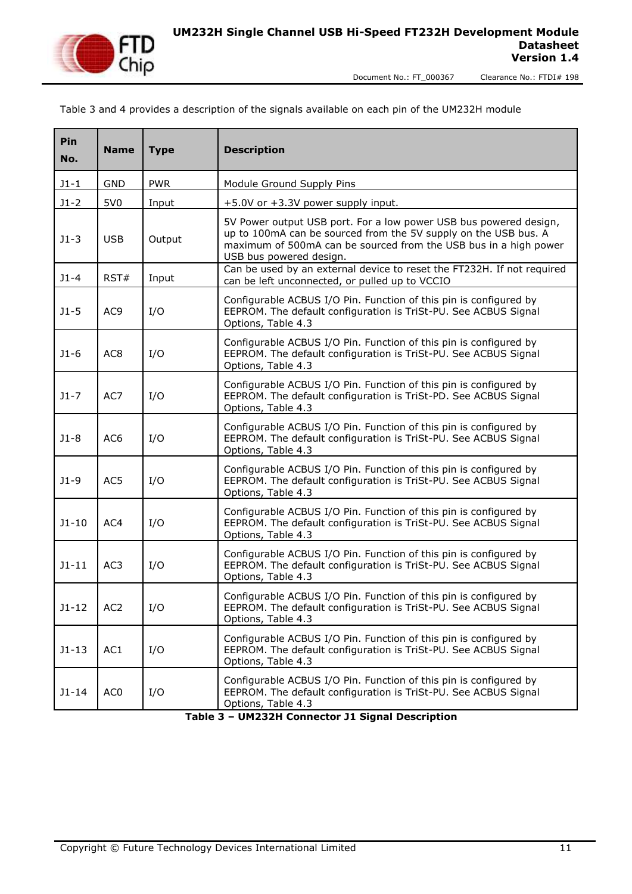

#### Table 3 and 4 provides a description of the signals available on each pin of the UM232H module

| Pin<br>No. | <b>Name</b>     | <b>Type</b> | <b>Description</b>                                                                                                                                                                                                                  |  |  |
|------------|-----------------|-------------|-------------------------------------------------------------------------------------------------------------------------------------------------------------------------------------------------------------------------------------|--|--|
| $J1 - 1$   | <b>GND</b>      | <b>PWR</b>  | Module Ground Supply Pins                                                                                                                                                                                                           |  |  |
| $J1-2$     | 5V0             | Input       | +5.0V or +3.3V power supply input.                                                                                                                                                                                                  |  |  |
| $J1-3$     | <b>USB</b>      | Output      | 5V Power output USB port. For a low power USB bus powered design,<br>up to 100mA can be sourced from the 5V supply on the USB bus. A<br>maximum of 500mA can be sourced from the USB bus in a high power<br>USB bus powered design. |  |  |
| $J1 - 4$   | RST#            | Input       | Can be used by an external device to reset the FT232H. If not required<br>can be left unconnected, or pulled up to VCCIO                                                                                                            |  |  |
| $J1-5$     | AC <sub>9</sub> | I/O         | Configurable ACBUS I/O Pin. Function of this pin is configured by<br>EEPROM. The default configuration is TriSt-PU. See ACBUS Signal<br>Options, Table 4.3                                                                          |  |  |
| $J1-6$     | AC <sub>8</sub> | I/O         | Configurable ACBUS I/O Pin. Function of this pin is configured by<br>EEPROM. The default configuration is TriSt-PU. See ACBUS Signal<br>Options, Table 4.3                                                                          |  |  |
| $J1 - 7$   | AC7             | I/O         | Configurable ACBUS I/O Pin. Function of this pin is configured by<br>EEPROM. The default configuration is TriSt-PD. See ACBUS Signal<br>Options, Table 4.3                                                                          |  |  |
| $J1-8$     | AC6             | I/O         | Configurable ACBUS I/O Pin. Function of this pin is configured by<br>EEPROM. The default configuration is TriSt-PU. See ACBUS Signal<br>Options, Table 4.3                                                                          |  |  |
| $J1-9$     | AC5             | I/O         | Configurable ACBUS I/O Pin. Function of this pin is configured by<br>EEPROM. The default configuration is TriSt-PU. See ACBUS Signal<br>Options, Table 4.3                                                                          |  |  |
| $J1 - 10$  | AC4             | I/O         | Configurable ACBUS I/O Pin. Function of this pin is configured by<br>EEPROM. The default configuration is TriSt-PU. See ACBUS Signal<br>Options, Table 4.3                                                                          |  |  |
| $J1 - 11$  | AC3             | I/O         | Configurable ACBUS I/O Pin. Function of this pin is configured by<br>EEPROM. The default configuration is TriSt-PU. See ACBUS Signal<br>Options, Table 4.3                                                                          |  |  |
| $J1 - 12$  | AC <sub>2</sub> | I/O         | Configurable ACBUS I/O Pin. Function of this pin is configured by<br>EEPROM. The default configuration is TriSt-PU. See ACBUS Signal<br>Options, Table 4.3                                                                          |  |  |
| $J1 - 13$  | AC1             | I/O         | Configurable ACBUS I/O Pin. Function of this pin is configured by<br>EEPROM. The default configuration is TriSt-PU. See ACBUS Signal<br>Options, Table 4.3                                                                          |  |  |
| $J1 - 14$  | AC <sub>0</sub> | I/O         | Configurable ACBUS I/O Pin. Function of this pin is configured by<br>EEPROM. The default configuration is TriSt-PU. See ACBUS Signal<br>Options, Table 4.3                                                                          |  |  |

<span id="page-10-0"></span>**Table 3 – UM232H Connector J1 Signal Description**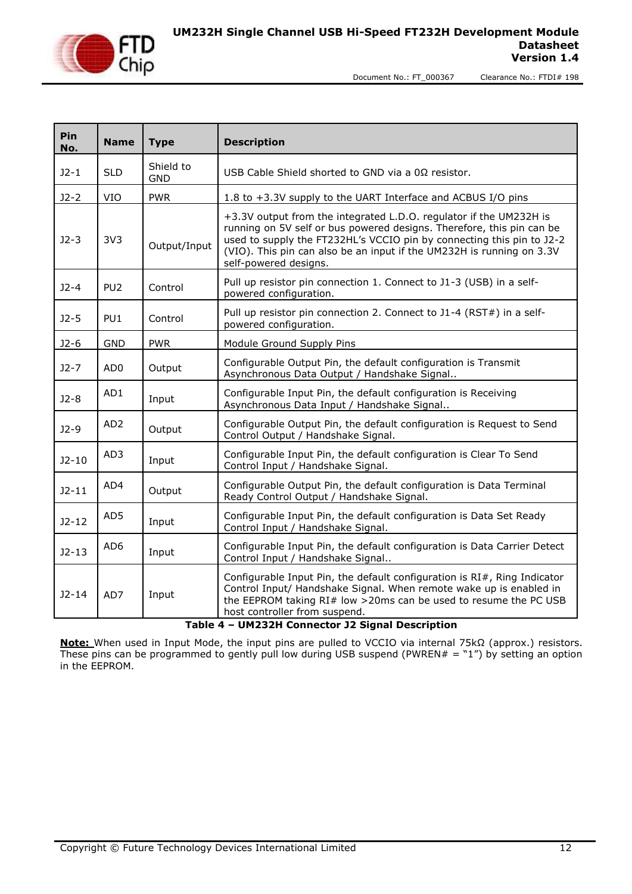

Document No.: FT\_000367

| Clearance No.: FTDI# 198 |  |  |
|--------------------------|--|--|
|                          |  |  |

| Pin<br>No. | <b>Name</b>     | <b>Type</b>             | <b>Description</b>                                                                                                                                                                                                                                                                                                     |  |  |
|------------|-----------------|-------------------------|------------------------------------------------------------------------------------------------------------------------------------------------------------------------------------------------------------------------------------------------------------------------------------------------------------------------|--|--|
| $J2-1$     | <b>SLD</b>      | Shield to<br><b>GND</b> | USB Cable Shield shorted to GND via a 0Ω resistor.                                                                                                                                                                                                                                                                     |  |  |
| $J2-2$     | VIO             | <b>PWR</b>              | 1.8 to +3.3V supply to the UART Interface and ACBUS I/O pins                                                                                                                                                                                                                                                           |  |  |
| $J2-3$     | 3V <sub>3</sub> | Output/Input            | +3.3V output from the integrated L.D.O. regulator if the UM232H is<br>running on 5V self or bus powered designs. Therefore, this pin can be<br>used to supply the FT232HL's VCCIO pin by connecting this pin to J2-2<br>(VIO). This pin can also be an input if the UM232H is running on 3.3V<br>self-powered designs. |  |  |
| $J2 - 4$   | PU <sub>2</sub> | Control                 | Pull up resistor pin connection 1. Connect to J1-3 (USB) in a self-<br>powered configuration.                                                                                                                                                                                                                          |  |  |
| $J2-5$     | PU <sub>1</sub> | Control                 | Pull up resistor pin connection 2. Connect to J1-4 (RST#) in a self-<br>powered configuration.                                                                                                                                                                                                                         |  |  |
| $J2-6$     | <b>GND</b>      | <b>PWR</b>              | Module Ground Supply Pins                                                                                                                                                                                                                                                                                              |  |  |
| $J2 - 7$   | AD <sub>0</sub> | Output                  | Configurable Output Pin, the default configuration is Transmit<br>Asynchronous Data Output / Handshake Signal                                                                                                                                                                                                          |  |  |
| $J2-8$     | AD1             | Input                   | Configurable Input Pin, the default configuration is Receiving<br>Asynchronous Data Input / Handshake Signal                                                                                                                                                                                                           |  |  |
| $J2-9$     | AD <sub>2</sub> | Output                  | Configurable Output Pin, the default configuration is Request to Send<br>Control Output / Handshake Signal.                                                                                                                                                                                                            |  |  |
| $J2-10$    | AD3             | Input                   | Configurable Input Pin, the default configuration is Clear To Send<br>Control Input / Handshake Signal.                                                                                                                                                                                                                |  |  |
| $J2 - 11$  | AD4             | Output                  | Configurable Output Pin, the default configuration is Data Terminal<br>Ready Control Output / Handshake Signal.                                                                                                                                                                                                        |  |  |
| $J2 - 12$  | AD5             | Input                   | Configurable Input Pin, the default configuration is Data Set Ready<br>Control Input / Handshake Signal.                                                                                                                                                                                                               |  |  |
| $J2-13$    | AD <sub>6</sub> | Input                   | Configurable Input Pin, the default configuration is Data Carrier Detect<br>Control Input / Handshake Signal                                                                                                                                                                                                           |  |  |
| $J2 - 14$  | AD7             | Input                   | Configurable Input Pin, the default configuration is RI#, Ring Indicator<br>Control Input/ Handshake Signal. When remote wake up is enabled in<br>the EEPROM taking RI# low >20ms can be used to resume the PC USB<br>host controller from suspend.                                                                    |  |  |

#### **Table 4 – UM232H Connector J2 Signal Description**

<span id="page-11-0"></span>**Note:** When used in Input Mode, the input pins are pulled to VCCIO via internal 75kΩ (approx.) resistors. These pins can be programmed to gently pull low during USB suspend (PWREN# =  $"1"$ ) by setting an option in the EEPROM.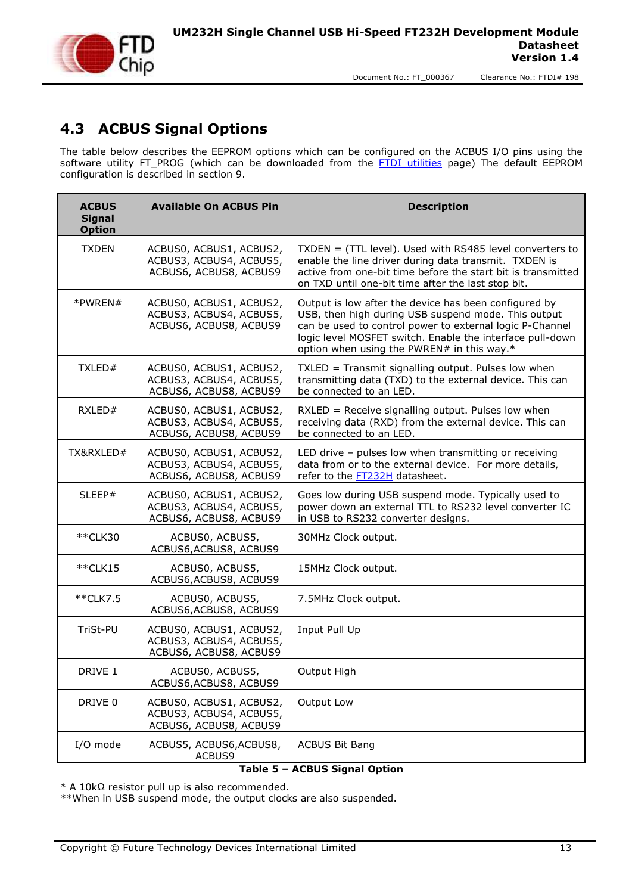

#### <span id="page-12-0"></span>**4.3 ACBUS Signal Options**

The table below describes the EEPROM options which can be configured on the ACBUS I/O pins using the software utility FT\_PROG (which can be downloaded from the [FTDI utilities](http://www.ftdichip.com/Support/Utilities.htm) page) The default EEPROM configuration is described in section [9.](#page-21-0)

| <b>ACBUS</b><br><b>Signal</b><br><b>Option</b>                                          | <b>Available On ACBUS Pin</b>                                                | <b>Description</b>                                                                                                                                                                                                                                                                  |
|-----------------------------------------------------------------------------------------|------------------------------------------------------------------------------|-------------------------------------------------------------------------------------------------------------------------------------------------------------------------------------------------------------------------------------------------------------------------------------|
| <b>TXDEN</b>                                                                            | ACBUS0, ACBUS1, ACBUS2,<br>ACBUS3, ACBUS4, ACBUS5,<br>ACBUS6, ACBUS8, ACBUS9 | $TXDEN = (TTL level)$ . Used with RS485 level converters to<br>enable the line driver during data transmit. TXDEN is<br>active from one-bit time before the start bit is transmitted<br>on TXD until one-bit time after the last stop bit.                                          |
| *PWREN#<br>ACBUS0, ACBUS1, ACBUS2,<br>ACBUS3, ACBUS4, ACBUS5,<br>ACBUS6, ACBUS8, ACBUS9 |                                                                              | Output is low after the device has been configured by<br>USB, then high during USB suspend mode. This output<br>can be used to control power to external logic P-Channel<br>logic level MOSFET switch. Enable the interface pull-down<br>option when using the PWREN# in this way.* |
| TXLED#                                                                                  | ACBUS0, ACBUS1, ACBUS2,<br>ACBUS3, ACBUS4, ACBUS5,<br>ACBUS6, ACBUS8, ACBUS9 | TXLED = Transmit signalling output. Pulses low when<br>transmitting data (TXD) to the external device. This can<br>be connected to an LED.                                                                                                                                          |
| RXLED#                                                                                  | ACBUS0, ACBUS1, ACBUS2,<br>ACBUS3, ACBUS4, ACBUS5,<br>ACBUS6, ACBUS8, ACBUS9 | RXLED = Receive signalling output. Pulses low when<br>receiving data (RXD) from the external device. This can<br>be connected to an LED.                                                                                                                                            |
| TX&RXLED#                                                                               | ACBUS0, ACBUS1, ACBUS2,<br>ACBUS3, ACBUS4, ACBUS5,<br>ACBUS6, ACBUS8, ACBUS9 | LED drive - pulses low when transmitting or receiving<br>data from or to the external device. For more details,<br>refer to the FT232H datasheet.                                                                                                                                   |
| SLEEP#                                                                                  | ACBUS0, ACBUS1, ACBUS2,<br>ACBUS3, ACBUS4, ACBUS5,<br>ACBUS6, ACBUS8, ACBUS9 | Goes low during USB suspend mode. Typically used to<br>power down an external TTL to RS232 level converter IC<br>in USB to RS232 converter designs.                                                                                                                                 |
| **CLK30                                                                                 | ACBUS0, ACBUS5,<br>ACBUS6, ACBUS8, ACBUS9                                    | 30MHz Clock output.                                                                                                                                                                                                                                                                 |
| $*$ $CLK15$                                                                             | ACBUS0, ACBUS5,<br>ACBUS6, ACBUS8, ACBUS9                                    | 15MHz Clock output.                                                                                                                                                                                                                                                                 |
| **CLK7.5                                                                                | ACBUS0, ACBUS5,<br>ACBUS6, ACBUS8, ACBUS9                                    | 7.5MHz Clock output.                                                                                                                                                                                                                                                                |
| TriSt-PU                                                                                | ACBUS0, ACBUS1, ACBUS2,<br>ACBUS3, ACBUS4, ACBUS5,<br>ACBUS6, ACBUS8, ACBUS9 | Input Pull Up                                                                                                                                                                                                                                                                       |
| DRIVE 1                                                                                 | ACBUS0, ACBUS5,<br>ACBUS6, ACBUS8, ACBUS9                                    | Output High                                                                                                                                                                                                                                                                         |
| DRIVE 0                                                                                 | ACBUS0, ACBUS1, ACBUS2,<br>ACBUS3, ACBUS4, ACBUS5,<br>ACBUS6, ACBUS8, ACBUS9 | Output Low                                                                                                                                                                                                                                                                          |
| I/O mode                                                                                | ACBUS5, ACBUS6, ACBUS8,<br>ACBUS9                                            | <b>ACBUS Bit Bang</b>                                                                                                                                                                                                                                                               |

#### **Table 5 – ACBUS Signal Option**

<span id="page-12-1"></span>\* A 10kΩ resistor pull up is also recommended.

\*\*When in USB suspend mode, the output clocks are also suspended.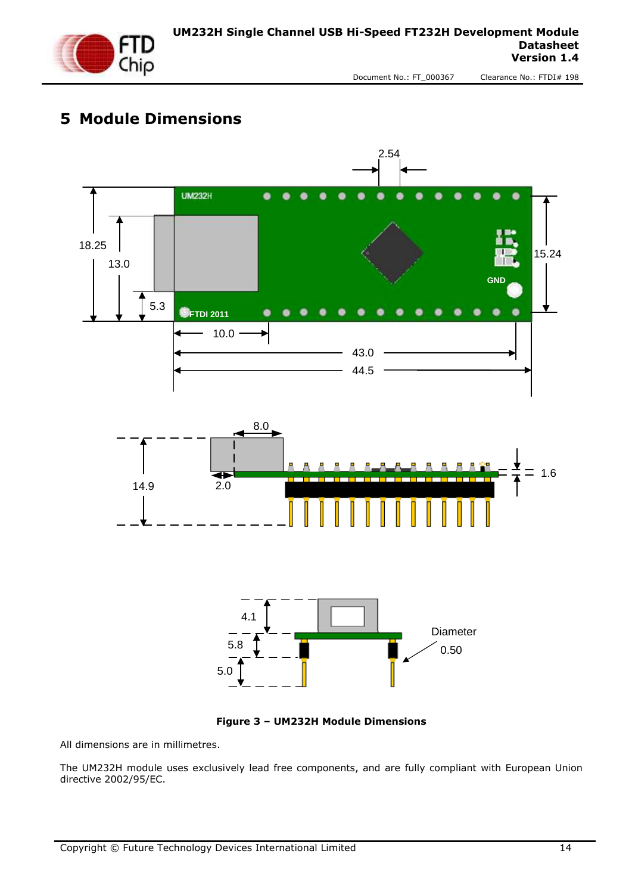

# <span id="page-13-0"></span>**5 Module Dimensions**



**Figure 3 – UM232H Module Dimensions**

<span id="page-13-1"></span>All dimensions are in millimetres.

The UM232H module uses exclusively lead free components, and are fully compliant with European Union directive 2002/95/EC.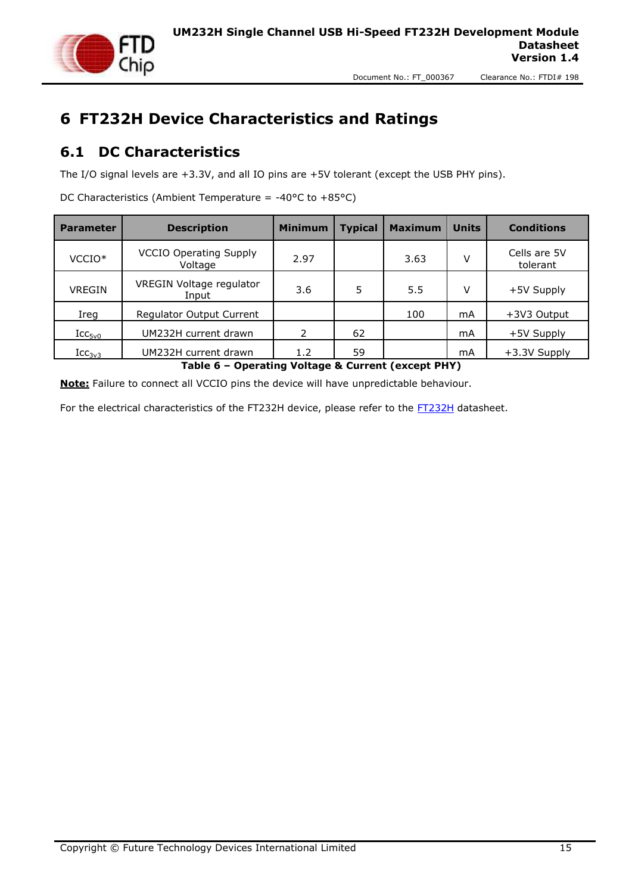

# <span id="page-14-0"></span>**6 FT232H Device Characteristics and Ratings**

#### <span id="page-14-1"></span>**6.1 DC Characteristics**

The I/O signal levels are +3.3V, and all IO pins are +5V tolerant (except the USB PHY pins).

DC Characteristics (Ambient Temperature =  $-40^{\circ}$ C to  $+85^{\circ}$ C)

| <b>Parameter</b>          | <b>Description</b>                       | <b>Minimum</b> | <b>Typical</b> | <b>Maximum</b> | <b>Units</b> | <b>Conditions</b>        |
|---------------------------|------------------------------------------|----------------|----------------|----------------|--------------|--------------------------|
| VCCIO <sup>*</sup>        | <b>VCCIO Operating Supply</b><br>Voltage | 2.97           |                | 3.63           | v            | Cells are 5V<br>tolerant |
| <b>VREGIN</b>             | VREGIN Voltage regulator<br>Input        | 3.6            | 5              | 5.5            | v            | +5V Supply               |
| Ireg                      | Regulator Output Current                 |                |                | 100            | mA           | +3V3 Output              |
| $\text{ICC}_{\text{5v0}}$ | UM232H current drawn                     | 2              | 62             |                | mA           | +5V Supply               |
| $\text{Icc}_{3v3}$        | UM232H current drawn                     | 1.2            | 59             |                | mA           | +3.3V Supply             |

**Table 6 – Operating Voltage & Current (except PHY)**

<span id="page-14-2"></span>**Note:** Failure to connect all VCCIO pins the device will have unpredictable behaviour.

For the electrical characteristics of the [FT232H](http://www.ftdichip.com/Support/Documents/DataSheets/ICs/DS_FT232H.pdf) device, please refer to the FT232H datasheet.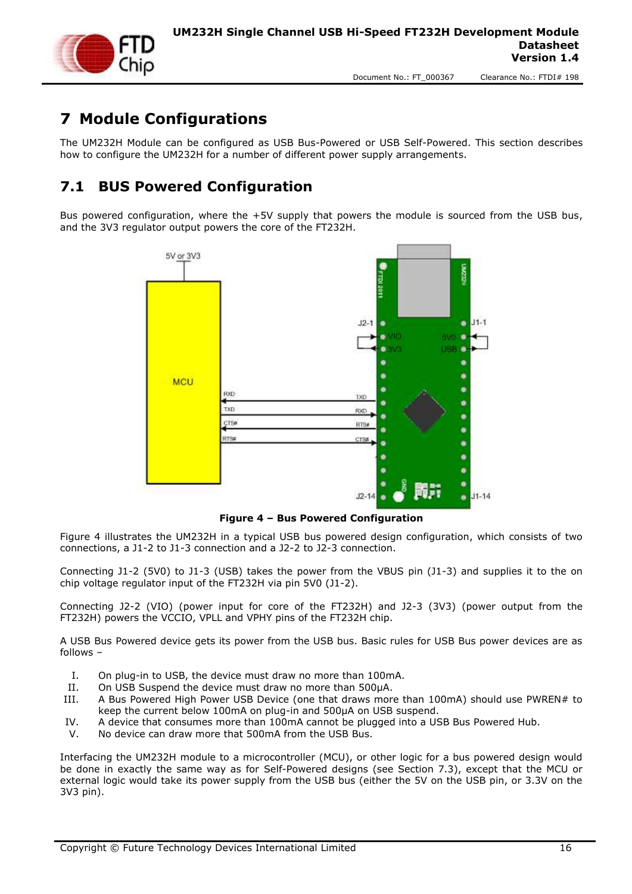

# <span id="page-15-0"></span>**7 Module Configurations**

The UM232H Module can be configured as USB Bus-Powered or USB Self-Powered. This section describes how to configure the UM232H for a number of different power supply arrangements.

### <span id="page-15-1"></span>**7.1 BUS Powered Configuration**

Bus powered configuration, where the +5V supply that powers the module is sourced from the USB bus, and the 3V3 regulator output powers the core of the FT232H.



**Figure 4 – Bus Powered Configuration**

<span id="page-15-2"></span>Figure 4 illustrates the UM232H in a typical USB bus powered design configuration, which consists of two connections, a J1-2 to J1-3 connection and a J2-2 to J2-3 connection.

Connecting J1-2 (5V0) to J1-3 (USB) takes the power from the VBUS pin (J1-3) and supplies it to the on chip voltage regulator input of the FT232H via pin 5V0 (J1-2).

Connecting J2-2 (VIO) (power input for core of the FT232H) and J2-3 (3V3) (power output from the FT232H) powers the VCCIO, VPLL and VPHY pins of the FT232H chip.

A USB Bus Powered device gets its power from the USB bus. Basic rules for USB Bus power devices are as follows –

- I. On plug-in to USB, the device must draw no more than 100mA.
- II. On USB Suspend the device must draw no more than 500μA.
- III. A Bus Powered High Power USB Device (one that draws more than 100mA) should use PWREN# to keep the current below 100mA on plug-in and 500μA on USB suspend.
- IV. A device that consumes more than 100mA cannot be plugged into a USB Bus Powered Hub.
- V. No device can draw more that 500mA from the USB Bus.

Interfacing the UM232H module to a microcontroller (MCU), or other logic for a bus powered design would be done in exactly the same way as for Self-Powered designs (see Section [7.3\)](#page-17-0), except that the MCU or external logic would take its power supply from the USB bus (either the 5V on the USB pin, or 3.3V on the 3V3 pin).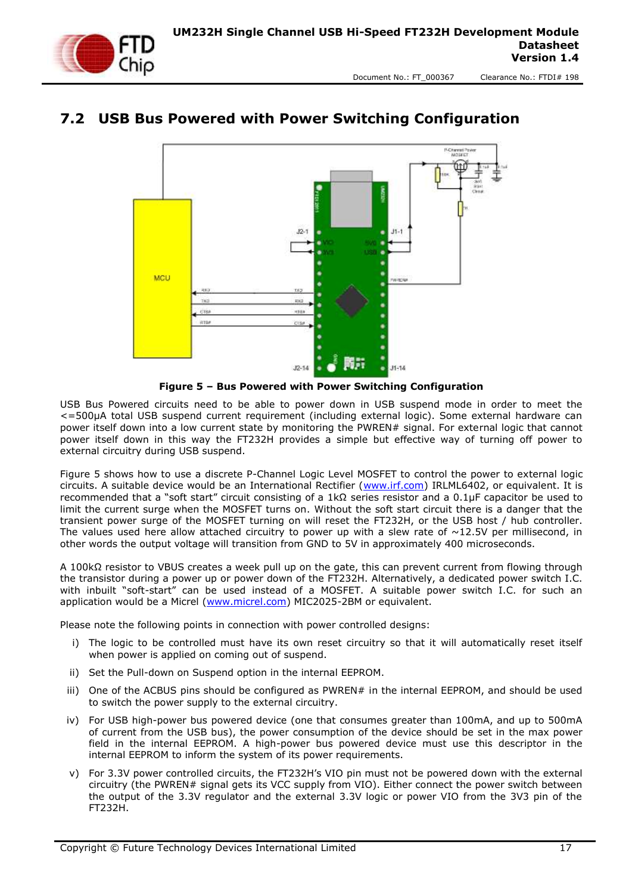

#### <span id="page-16-0"></span>**7.2 USB Bus Powered with Power Switching Configuration**



**Figure 5 – Bus Powered with Power Switching Configuration**

<span id="page-16-1"></span>USB Bus Powered circuits need to be able to power down in USB suspend mode in order to meet the <=500μA total USB suspend current requirement (including external logic). Some external hardware can power itself down into a low current state by monitoring the PWREN# signal. For external logic that cannot power itself down in this way the FT232H provides a simple but effective way of turning off power to external circuitry during USB suspend.

Figure 5 shows how to use a discrete P-Channel Logic Level MOSFET to control the power to external logic circuits. A suitable device would be an International Rectifier [\(www.irf.com\)](http://www.irf.com/) IRLML6402, or equivalent. It is recommended that a "soft start" circuit consisting of a 1kΩ series resistor and a 0.1μF capacitor be used to limit the current surge when the MOSFET turns on. Without the soft start circuit there is a danger that the transient power surge of the MOSFET turning on will reset the FT232H, or the USB host / hub controller. The values used here allow attached circuitry to power up with a slew rate of  $\sim$ 12.5V per millisecond, in other words the output voltage will transition from GND to 5V in approximately 400 microseconds.

A 100kΩ resistor to VBUS creates a week pull up on the gate, this can prevent current from flowing through the transistor during a power up or power down of the FT232H. Alternatively, a dedicated power switch I.C. with inbuilt "soft-start" can be used instead of a MOSFET. A suitable power switch I.C. for such an application would be a Micrel [\(www.micrel.com\)](http://www.micrel.com/) MIC2025-2BM or equivalent.

Please note the following points in connection with power controlled designs:

- i) The logic to be controlled must have its own reset circuitry so that it will automatically reset itself when power is applied on coming out of suspend.
- ii) Set the Pull-down on Suspend option in the internal EEPROM.
- iii) One of the ACBUS pins should be configured as PWREN# in the internal EEPROM, and should be used to switch the power supply to the external circuitry.
- iv) For USB high-power bus powered device (one that consumes greater than 100mA, and up to 500mA of current from the USB bus), the power consumption of the device should be set in the max power field in the internal EEPROM. A high-power bus powered device must use this descriptor in the internal EEPROM to inform the system of its power requirements.
- v) For 3.3V power controlled circuits, the FT232H's VIO pin must not be powered down with the external circuitry (the PWREN# signal gets its VCC supply from VIO). Either connect the power switch between the output of the 3.3V regulator and the external 3.3V logic or power VIO from the 3V3 pin of the FT232H.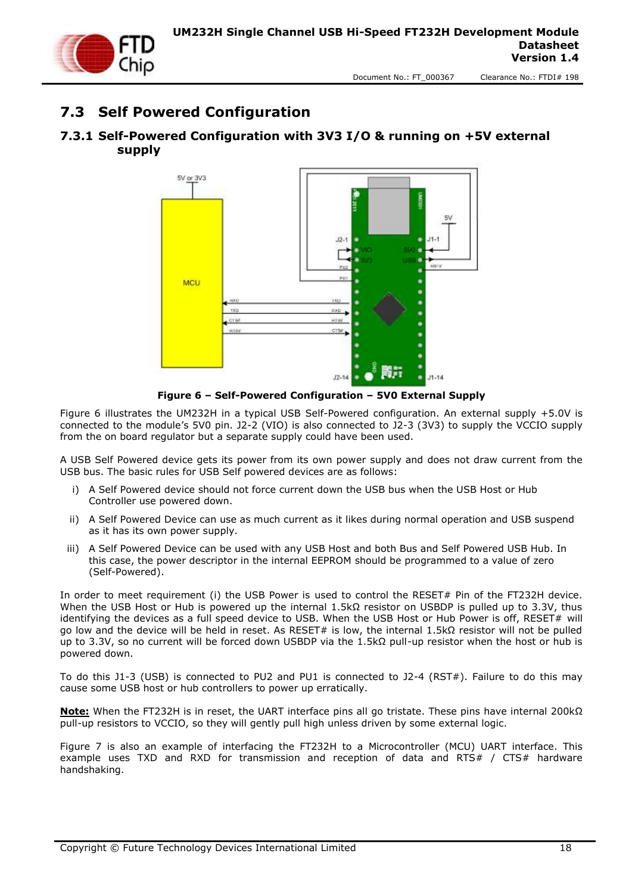

#### <span id="page-17-0"></span>**7.3 Self Powered Configuration**

#### <span id="page-17-1"></span>**7.3.1 Self-Powered Configuration with 3V3 I/O & running on +5V external supply**



**Figure 6 – Self-Powered Configuration – 5V0 External Supply**

<span id="page-17-2"></span>Figure 6 illustrates the UM232H in a typical USB Self-Powered configuration. An external supply +5.0V is connected to the module's 5V0 pin. J2-2 (VIO) is also connected to J2-3 (3V3) to supply the VCCIO supply from the on board regulator but a separate supply could have been used.

A USB Self Powered device gets its power from its own power supply and does not draw current from the USB bus. The basic rules for USB Self powered devices are as follows:

- i) A Self Powered device should not force current down the USB bus when the USB Host or Hub Controller use powered down.
- ii) A Self Powered Device can use as much current as it likes during normal operation and USB suspend as it has its own power supply.
- iii) A Self Powered Device can be used with any USB Host and both Bus and Self Powered USB Hub. In this case, the power descriptor in the internal EEPROM should be programmed to a value of zero (Self-Powered).

In order to meet requirement (i) the USB Power is used to control the RESET# Pin of the FT232H device. When the USB Host or Hub is powered up the internal 1.5kΩ resistor on USBDP is pulled up to 3.3V, thus identifying the devices as a full speed device to USB. When the USB Host or Hub Power is off, RESET# will go low and the device will be held in reset. As RESET# is low, the internal 1.5kΩ resistor will not be pulled up to 3.3V, so no current will be forced down USBDP via the 1.5kΩ pull-up resistor when the host or hub is powered down.

To do this J1-3 (USB) is connected to PU2 and PU1 is connected to J2-4 (RST#). Failure to do this may cause some USB host or hub controllers to power up erratically.

**Note:** When the FT232H is in reset, the UART interface pins all go tristate. These pins have internal 200kΩ pull-up resistors to VCCIO, so they will gently pull high unless driven by some external logic.

Figure 7 is also an example of interfacing the FT232H to a Microcontroller (MCU) UART interface. This example uses TXD and RXD for transmission and reception of data and RTS# / CTS# hardware handshaking.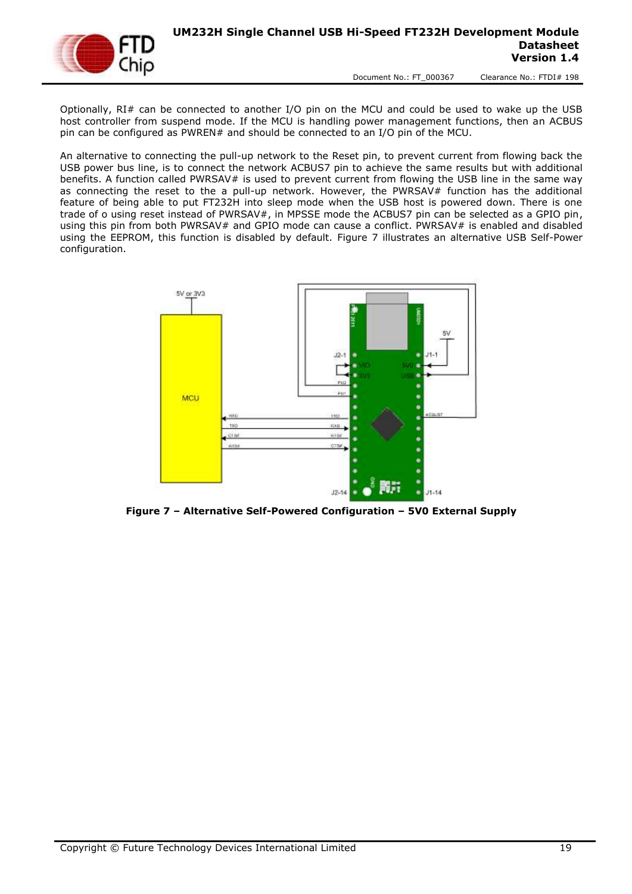Optionally, RI# can be connected to another I/O pin on the MCU and could be used to wake up the USB host controller from suspend mode. If the MCU is handling power management functions, then an ACBUS pin can be configured as PWREN# and should be connected to an I/O pin of the MCU.

An alternative to connecting the pull-up network to the Reset pin, to prevent current from flowing back the USB power bus line, is to connect the network ACBUS7 pin to achieve the same results but with additional benefits. A function called PWRSAV# is used to prevent current from flowing the USB line in the same way as connecting the reset to the a pull-up network. However, the PWRSAV# function has the additional feature of being able to put FT232H into sleep mode when the USB host is powered down. There is one trade of o using reset instead of PWRSAV#, in MPSSE mode the ACBUS7 pin can be selected as a GPIO pin, using this pin from both PWRSAV# and GPIO mode can cause a conflict. PWRSAV# is enabled and disabled using the EEPROM, this function is disabled by default. Figure 7 illustrates an alternative USB Self-Power configuration.



<span id="page-18-0"></span>**Figure 7 – Alternative Self-Powered Configuration – 5V0 External Supply**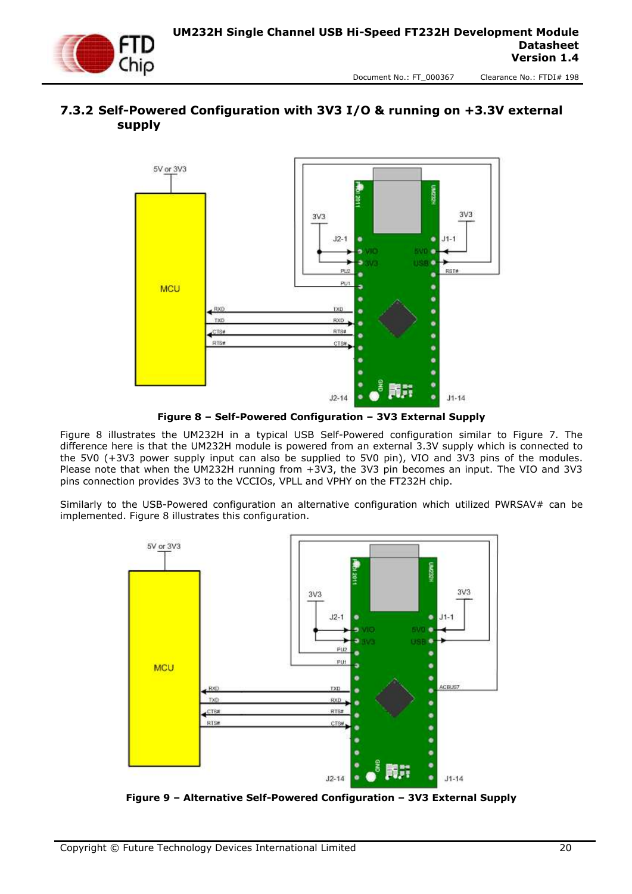

#### <span id="page-19-0"></span>**7.3.2 Self-Powered Configuration with 3V3 I/O & running on +3.3V external supply**



**Figure 8 – Self-Powered Configuration – 3V3 External Supply**

<span id="page-19-1"></span>Figure 8 illustrates the UM232H in a typical USB Self-Powered configuration similar to Figure 7. The difference here is that the UM232H module is powered from an external 3.3V supply which is connected to the 5V0 (+3V3 power supply input can also be supplied to 5V0 pin), VIO and 3V3 pins of the modules. Please note that when the UM232H running from +3V3, the 3V3 pin becomes an input. The VIO and 3V3 pins connection provides 3V3 to the VCCIOs, VPLL and VPHY on the FT232H chip.

Similarly to the USB-Powered configuration an alternative configuration which utilized PWRSAV# can be implemented. Figure 8 illustrates this configuration.



<span id="page-19-2"></span>**Figure 9 – Alternative Self-Powered Configuration – 3V3 External Supply**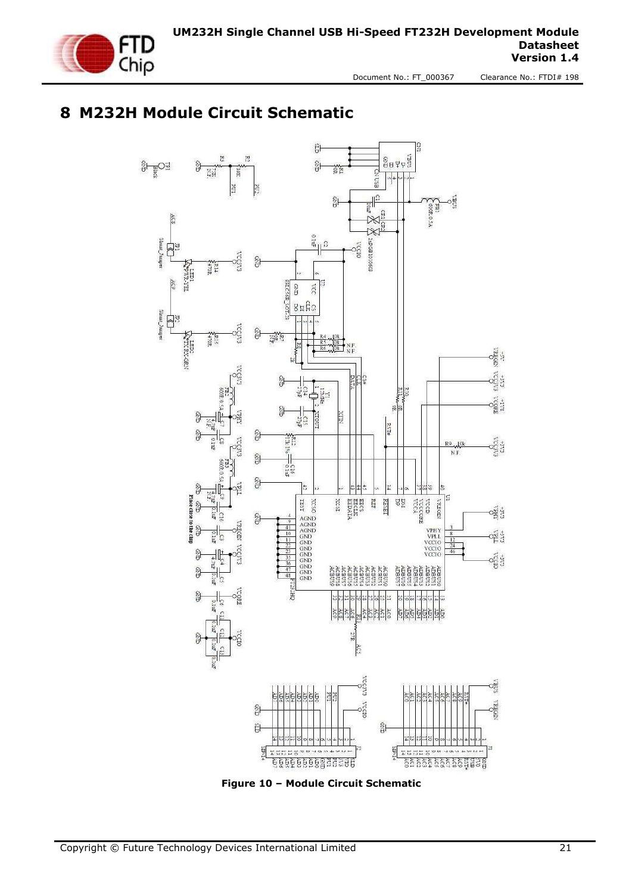

## <span id="page-20-0"></span>**8 M232H Module Circuit Schematic**



<span id="page-20-1"></span>**Figure 10 – Module Circuit Schematic**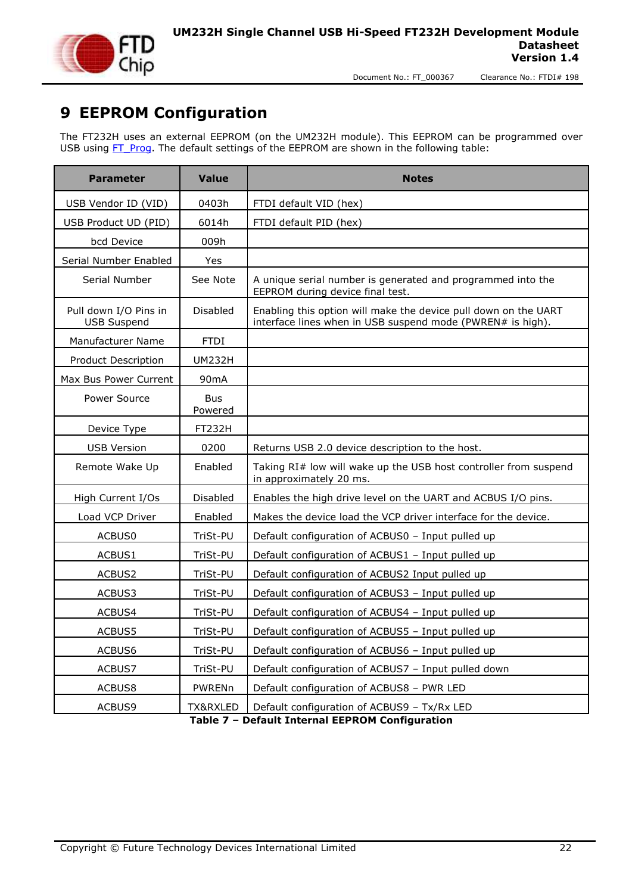

### <span id="page-21-0"></span>**9 EEPROM Configuration**

The FT232H uses an external EEPROM (on the UM232H module). This EEPROM can be programmed over USB using  $FT$  Prog. The default settings of the EEPROM are shown in the following table:

| <b>Parameter</b>                            | <b>Value</b>          | <b>Notes</b>                                                                                                                  |  |
|---------------------------------------------|-----------------------|-------------------------------------------------------------------------------------------------------------------------------|--|
| USB Vendor ID (VID)                         | 0403h                 | FTDI default VID (hex)                                                                                                        |  |
| USB Product UD (PID)                        | 6014h                 | FTDI default PID (hex)                                                                                                        |  |
| bcd Device                                  | 009h                  |                                                                                                                               |  |
| Serial Number Enabled                       | Yes                   |                                                                                                                               |  |
| Serial Number                               | See Note              | A unique serial number is generated and programmed into the<br>EEPROM during device final test.                               |  |
| Pull down I/O Pins in<br><b>USB Suspend</b> | Disabled              | Enabling this option will make the device pull down on the UART<br>interface lines when in USB suspend mode (PWREN# is high). |  |
| Manufacturer Name                           | <b>FTDI</b>           |                                                                                                                               |  |
| <b>Product Description</b>                  | UM232H                |                                                                                                                               |  |
| Max Bus Power Current                       | 90 <sub>m</sub> A     |                                                                                                                               |  |
| Power Source                                | <b>Bus</b><br>Powered |                                                                                                                               |  |
| Device Type                                 | FT232H                |                                                                                                                               |  |
| <b>USB Version</b>                          | 0200                  | Returns USB 2.0 device description to the host.                                                                               |  |
| Remote Wake Up                              | Enabled               | Taking RI# low will wake up the USB host controller from suspend<br>in approximately 20 ms.                                   |  |
| High Current I/Os                           | Disabled              | Enables the high drive level on the UART and ACBUS I/O pins.                                                                  |  |
| Load VCP Driver                             | Enabled               | Makes the device load the VCP driver interface for the device.                                                                |  |
| ACBUS0                                      | TriSt-PU              | Default configuration of ACBUS0 - Input pulled up                                                                             |  |
| ACBUS1                                      | TriSt-PU              | Default configuration of ACBUS1 - Input pulled up                                                                             |  |
| ACBUS2                                      | TriSt-PU              | Default configuration of ACBUS2 Input pulled up                                                                               |  |
| ACBUS3                                      | TriSt-PU              | Default configuration of ACBUS3 - Input pulled up                                                                             |  |
| ACBUS4                                      | TriSt-PU              | Default configuration of ACBUS4 - Input pulled up                                                                             |  |
| ACBUS5                                      | TriSt-PU              | Default configuration of ACBUS5 - Input pulled up                                                                             |  |
| ACBUS6                                      | TriSt-PU              | Default configuration of ACBUS6 - Input pulled up                                                                             |  |
| ACBUS7                                      | TriSt-PU              | Default configuration of ACBUS7 - Input pulled down                                                                           |  |
| ACBUS8                                      | PWRENn                | Default configuration of ACBUS8 - PWR LED                                                                                     |  |
| ACBUS9                                      | TX&RXLED              | Default configuration of ACBUS9 - Tx/Rx LED                                                                                   |  |

<span id="page-21-1"></span>**Table 7 – Default Internal EEPROM Configuration**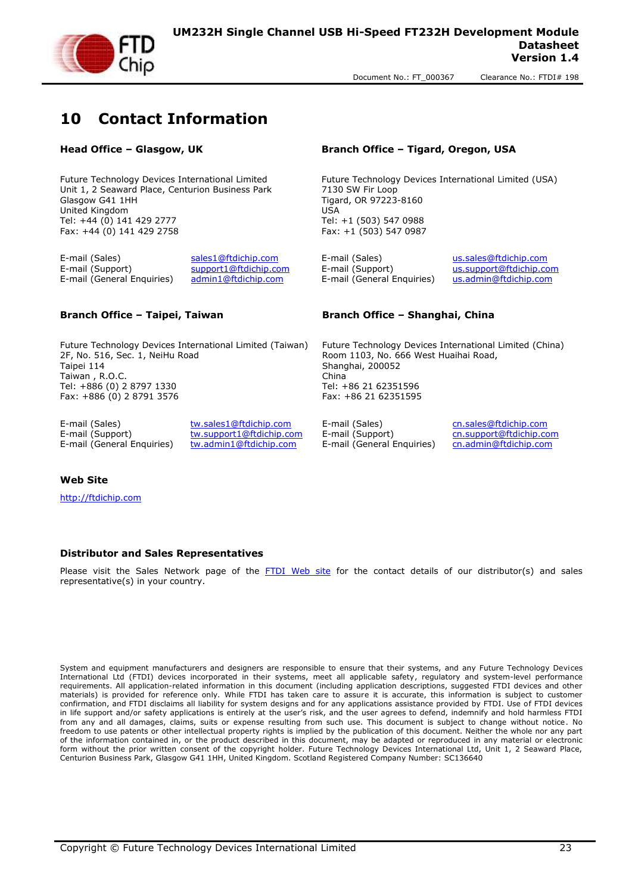

#### <span id="page-22-0"></span>**10 Contact Information**

Future Technology Devices International Limited Unit 1, 2 Seaward Place, Centurion Business Park Glasgow G41 1HH United Kingdom Tel: +44 (0) 141 429 2777 Fax: +44 (0) 141 429 2758

E-mail (Sales) [sales1@ftdichip.com](mailto:sales1@ftdichip.com) E-mail (Sales) [us.sales@ftdichip.com](mailto:us.sales@ftdichip.com) E-mail (Support) [support1@ftdichip.com](mailto:support1@ftdichip.com) E-mail (Support) [us.support@ftdichip.com](mailto:us.support@ftdichip.com) E-mail (General Enquiries) [admin1@ftdichip.com](mailto:admin1@ftdichip.com) E-mail (General Enquiries) [us.admin@ftdichip.com](mailto:us.admin@ftdichip.com)

Future Technology Devices International Limited (Taiwan) 2F, No. 516, Sec. 1, NeiHu Road Taipei 114 Taiwan , R.O.C. Tel: +886 (0) 2 8797 1330 Fax: +886 (0) 2 8791 3576

E-mail (Sales) [tw.sales1@ftdichip.com](mailto:tw.sales1@ftdichip.com) E-mail (Sales) [cn.sales@ftdichip.com](mailto:cn.sales@ftdichip.com) E-mail (General Enquiries) [tw.admin1@ftdichip.com](mailto:tw.admin1@ftdichip.com) E-mail (General Enquiries) [cn.admin@ftdichip.com](mailto:cn.admin@ftdichip.com)

E-mail (Support) [tw.support1@ftdichip.com](mailto:tw.support1@ftdichip.com) E-mail (Support) [cn.support@ftdichip.com](mailto:cn.support@ftdichip.com)

**Head Office – Glasgow, UK Branch Office – Tigard, Oregon, USA**

Future Technology Devices International Limited (USA) 7130 SW Fir Loop Tigard, OR 97223-8160 USA Tel: +1 (503) 547 0988 Fax: +1 (503) 547 0987

#### **Branch Office – Taipei, Taiwan Branch Office – Shanghai, China**

Future Technology Devices International Limited (China) Room 1103, No. 666 West Huaihai Road, Shanghai, 200052 China Tel: +86 21 62351596 Fax: +86 21 62351595

#### **Web Site**

[http://ftdichip.com](http://ftdichip.com/)

#### **Distributor and Sales Representatives**

Please visit the Sales Network page of the [FTDI Web site](http://ftdichip.com/FTSalesNetwork.htm) for the contact details of our distributor(s) and sales representative(s) in your country.

System and equipment manufacturers and designers are responsible to ensure that their systems, and any Future Technology Devices International Ltd (FTDI) devices incorporated in their systems, meet all applicable safety, regulatory and system-level performance requirements. All application-related information in this document (including application descriptions, suggested FTDI devices and other materials) is provided for reference only. While FTDI has taken care to assure it is accurate, this information is subject to customer confirmation, and FTDI disclaims all liability for system designs and for any applications assistance provided by FTDI. Use of FTDI devices in life support and/or safety applications is entirely at the user's risk, and the user agrees to defend, indemnify and hold harmless FTDI from any and all damages, claims, suits or expense resulting from such use. This document is subject to change without notice. No freedom to use patents or other intellectual property rights is implied by the publication of this document. Neither the whole nor any part of the information contained in, or the product described in this document, may be adapted or reproduced in any material or electronic form without the prior written consent of the copyright holder. Future Technology Devices International Ltd, Unit 1, 2 Seaward Place, Centurion Business Park, Glasgow G41 1HH, United Kingdom. Scotland Registered Company Number: SC136640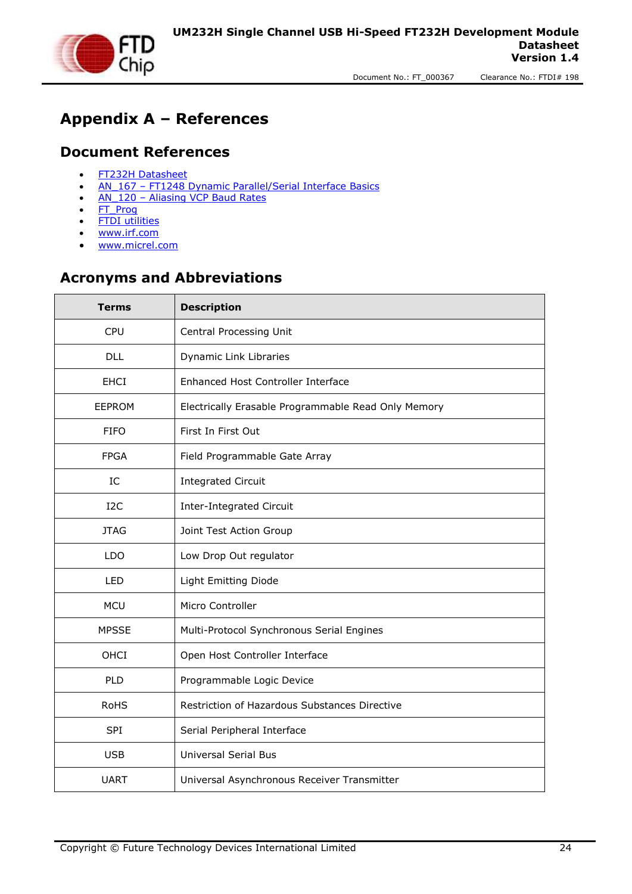

## <span id="page-23-0"></span>**Appendix A – References**

#### <span id="page-23-1"></span>**Document References**

- [FT232H Datasheet](http://www.ftdichip.com/Support/Documents/DataSheets/ICs/DS_FT232H.pdf)
- AN 167 [FT1248 Dynamic Parallel/Serial Interface Basics](http://www.ftdichip.com/Support/Documents/AppNotes/AN_167_FT1248_Parallel_Serial_Interface_Basics.pdf)
- AN 120 [Aliasing VCP Baud Rates](http://www.ftdichip.com/Support/Documents/AppNotes/AN_120_Aliasing_VCP_Baud_Rates.pdf)
- [FT\\_Prog](http://www.ftdichip.com/Resources/Utilities/FT_Prog_v1.4.zip)
- **[FTDI utilities](http://www.ftdichip.com/Support/Utilities.htm)**
- [www.irf.com](http://www.irf.com/)
- [www.micrel.com](http://www.micrel.com/)

#### <span id="page-23-2"></span>**Acronyms and Abbreviations**

| <b>Description</b><br><b>Terms</b> |                                                     |  |
|------------------------------------|-----------------------------------------------------|--|
| <b>CPU</b>                         | Central Processing Unit                             |  |
| <b>DLL</b>                         | Dynamic Link Libraries                              |  |
| <b>EHCI</b>                        | Enhanced Host Controller Interface                  |  |
| <b>EEPROM</b>                      | Electrically Erasable Programmable Read Only Memory |  |
| <b>FIFO</b><br>First In First Out  |                                                     |  |
| <b>FPGA</b>                        | Field Programmable Gate Array                       |  |
| IC                                 | <b>Integrated Circuit</b>                           |  |
| I <sub>2</sub> C                   | Inter-Integrated Circuit                            |  |
| <b>JTAG</b>                        | Joint Test Action Group                             |  |
| <b>LDO</b>                         | Low Drop Out regulator                              |  |
| <b>LED</b>                         | Light Emitting Diode                                |  |
| <b>MCU</b>                         | Micro Controller                                    |  |
| <b>MPSSE</b>                       | Multi-Protocol Synchronous Serial Engines           |  |
| OHCI                               | Open Host Controller Interface                      |  |
| <b>PLD</b>                         | Programmable Logic Device                           |  |
| <b>RoHS</b>                        | Restriction of Hazardous Substances Directive       |  |
| <b>SPI</b>                         | Serial Peripheral Interface                         |  |
| <b>USB</b>                         | <b>Universal Serial Bus</b>                         |  |
| <b>UART</b>                        | Universal Asynchronous Receiver Transmitter         |  |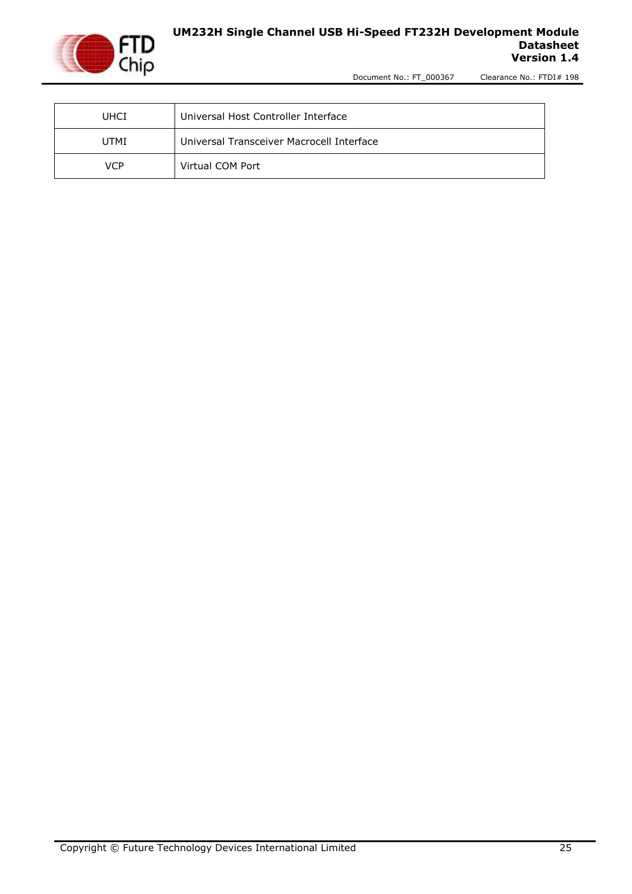

#### **UM232H Single Channel USB Hi-Speed FT232H Development Module Datasheet Version 1.4**

Document No.: FT\_000367 Clearance No.: FTDI# 198

| Universal Host Controller Interface<br><b>UHCI</b> |                                           |
|----------------------------------------------------|-------------------------------------------|
| <b>UTMI</b>                                        | Universal Transceiver Macrocell Interface |
| <b>VCP</b>                                         | Virtual COM Port                          |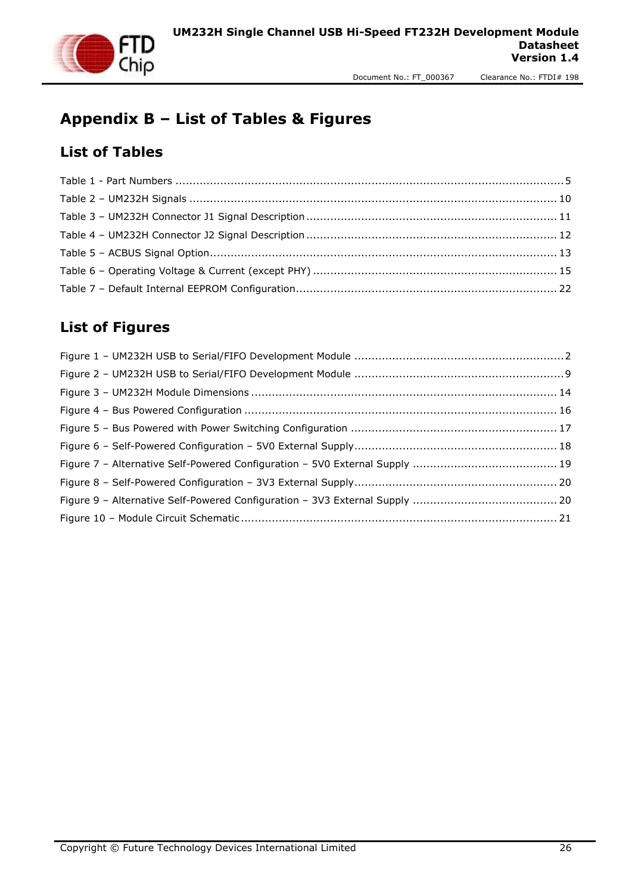

# <span id="page-25-0"></span>**Appendix B – List of Tables & Figures**

#### <span id="page-25-1"></span>**List of Tables**

#### <span id="page-25-2"></span>**List of Figures**